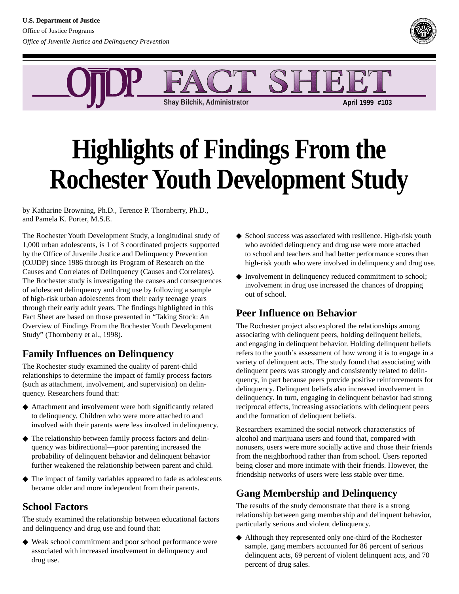

**Shay Bilchik, Administrator April 1999 #103**

# **Highlights of Findings From the Rochester Youth Development Study**

by Katharine Browning, Ph.D., Terence P. Thornberry, Ph.D., and Pamela K. Porter, M.S.E.

The Rochester Youth Development Study, a longitudinal study of 1,000 urban adolescents, is 1 of 3 coordinated projects supported by the Office of Juvenile Justice and Delinquency Prevention (OJJDP) since 1986 through its Program of Research on the Causes and Correlates of Delinquency (Causes and Correlates). The Rochester study is investigating the causes and consequences of adolescent delinquency and drug use by following a sample of high-risk urban adolescents from their early teenage years through their early adult years. The findings highlighted in this Fact Sheet are based on those presented in "Taking Stock: An Overview of Findings From the Rochester Youth Development Study" (Thornberry et al., 1998).

## **Family Influences on Delinquency**

The Rochester study examined the quality of parent-child relationships to determine the impact of family process factors (such as attachment, involvement, and supervision) on delinquency. Researchers found that:

- ◆ Attachment and involvement were both significantly related to delinquency. Children who were more attached to and involved with their parents were less involved in delinquency.
- ◆ The relationship between family process factors and delinquency was bidirectional—poor parenting increased the probability of delinquent behavior and delinquent behavior further weakened the relationship between parent and child.
- ◆ The impact of family variables appeared to fade as adolescents became older and more independent from their parents.

### **School Factors**

The study examined the relationship between educational factors and delinquency and drug use and found that:

◆ Weak school commitment and poor school performance were associated with increased involvement in delinquency and drug use.

- ◆ School success was associated with resilience. High-risk youth who avoided delinquency and drug use were more attached to school and teachers and had better performance scores than high-risk youth who were involved in delinquency and drug use.
- ◆ Involvement in delinquency reduced commitment to school; involvement in drug use increased the chances of dropping out of school.

## **Peer Influence on Behavior**

The Rochester project also explored the relationships among associating with delinquent peers, holding delinquent beliefs, and engaging in delinquent behavior. Holding delinquent beliefs refers to the youth's assessment of how wrong it is to engage in a variety of delinquent acts. The study found that associating with delinquent peers was strongly and consistently related to delinquency, in part because peers provide positive reinforcements for delinquency. Delinquent beliefs also increased involvement in delinquency. In turn, engaging in delinquent behavior had strong reciprocal effects, increasing associations with delinquent peers and the formation of delinquent beliefs.

Researchers examined the social network characteristics of alcohol and marijuana users and found that, compared with nonusers, users were more socially active and chose their friends from the neighborhood rather than from school. Users reported being closer and more intimate with their friends. However, the friendship networks of users were less stable over time.

## **Gang Membership and Delinquency**

The results of the study demonstrate that there is a strong relationship between gang membership and delinquent behavior, particularly serious and violent delinquency.

◆ Although they represented only one-third of the Rochester sample, gang members accounted for 86 percent of serious delinquent acts, 69 percent of violent delinquent acts, and 70 percent of drug sales.